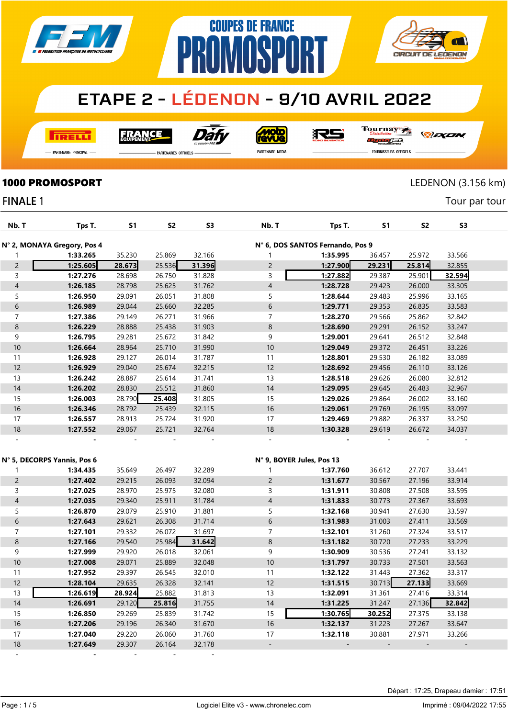

**COUPES DE FRANCE** 

**AMASP** 

**I तत्वच**र्च

Dàl **FRANCE** 

**MOLO** 

RS

**| H** 

Tournay ra

*DEXEN* 

**CIRCUIT DE LEDENON** 

-<br>Partenaire Principal

**PARTENAIRES OFFICIELS** 

PR

PARTENAIRE MEDIA

FOURNISSEURS OFFICIELS

 $\lceil$ 

Tour par tour

## **1000 PROMOSPORT** LEDENON (3.156 km)

### **FINALE 1**

| Nb. T          | Tps T.                      | <b>S1</b> | S <sub>2</sub> | S <sub>3</sub> | Nb. T          | Tps T.                           | <b>S1</b> | S <sub>2</sub> | S <sub>3</sub> |  |
|----------------|-----------------------------|-----------|----------------|----------------|----------------|----------------------------------|-----------|----------------|----------------|--|
|                | N° 2, MONAYA Gregory, Pos 4 |           |                |                |                | N° 6, DOS SANTOS Fernando, Pos 9 |           |                |                |  |
|                | 1:33.265                    | 35.230    | 25.869         | 32.166         |                | 1:35.995                         | 36.457    | 25.972         | 33.566         |  |
| $\overline{2}$ | 1:25.605                    | 28.673    | 25.536         | 31.396         | $\overline{2}$ | 1:27.900                         | 29.231    | 25.814         | 32.855         |  |
| 3              | 1:27.276                    | 28.698    | 26.750         | 31.828         | 3              | 1:27.882                         | 29.387    | 25.901         | 32.594         |  |
| $\overline{4}$ | 1:26.185                    | 28.798    | 25.625         | 31.762         | $\overline{4}$ | 1:28.728                         | 29.423    | 26.000         | 33.305         |  |
| 5              | 1:26.950                    | 29.091    | 26.051         | 31.808         | 5              | 1:28.644                         | 29.483    | 25.996         | 33.165         |  |
| 6              | 1:26.989                    | 29.044    | 25.660         | 32.285         | 6              | 1:29.771                         | 29.353    | 26.835         | 33.583         |  |
| 7              | 1:27.386                    | 29.149    | 26.271         | 31.966         | $\overline{7}$ | 1:28.270                         | 29.566    | 25.862         | 32.842         |  |
| $\bf 8$        | 1:26.229                    | 28.888    | 25.438         | 31.903         | 8              | 1:28.690                         | 29.291    | 26.152         | 33.247         |  |
| 9              | 1:26.795                    | 29.281    | 25.672         | 31.842         | 9              | 1:29.001                         | 29.641    | 26.512         | 32.848         |  |
| 10             | 1:26.664                    | 28.964    | 25.710         | 31.990         | 10             | 1:29.049                         | 29.372    | 26.451         | 33.226         |  |
| 11             | 1:26.928                    | 29.127    | 26.014         | 31.787         | 11             | 1:28.801                         | 29.530    | 26.182         | 33.089         |  |
| 12             | 1:26.929                    | 29.040    | 25.674         | 32.215         | 12             | 1:28.692                         | 29.456    | 26.110         | 33.126         |  |
| 13             | 1:26.242                    | 28.887    | 25.614         | 31.741         | 13             | 1:28.518                         | 29.626    | 26.080         | 32.812         |  |
| 14             | 1:26.202                    | 28.830    | 25.512         | 31.860         | 14             | 1:29.095                         | 29.645    | 26.483         | 32.967         |  |
| 15             | 1:26.003                    | 28.790    | 25.408         | 31.805         | 15             | 1:29.026                         | 29.864    | 26.002         | 33.160         |  |
| 16             | 1:26.346                    | 28.792    | 25.439         | 32.115         | 16             | 1:29.061                         | 29.769    | 26.195         | 33.097         |  |
| 17             | 1:26.557                    | 28.913    | 25.724         | 31.920         | 17             | 1:29.469                         | 29.882    | 26.337         | 33.250         |  |
| 18             | 1:27.552                    | 29.067    | 25.721         | 32.764         | 18             | 1:30.328                         | 29.619    | 26.672         | 34.037         |  |
|                |                             |           |                |                |                |                                  |           |                |                |  |

|                | N° 5, DECORPS Yannis, Pos 6 |        |        |        | N° 9, BOYER Jules, Pos 13 |          |        |        |        |  |
|----------------|-----------------------------|--------|--------|--------|---------------------------|----------|--------|--------|--------|--|
|                | 1:34.435                    | 35.649 | 26.497 | 32.289 |                           | 1:37.760 | 36.612 | 27.707 | 33.441 |  |
| $\overline{c}$ | 1:27.402                    | 29.215 | 26.093 | 32.094 | 2                         | 1:31.677 | 30.567 | 27.196 | 33.914 |  |
| 3              | 1:27.025                    | 28.970 | 25.975 | 32.080 | 3                         | 1:31.911 | 30.808 | 27.508 | 33.595 |  |
| 4              | 1:27.035                    | 29.340 | 25.911 | 31.784 | 4                         | 1:31.833 | 30.773 | 27.367 | 33.693 |  |
| 5              | 1:26.870                    | 29.079 | 25.910 | 31.881 | 5                         | 1:32.168 | 30.941 | 27.630 | 33.597 |  |
| 6              | 1:27.643                    | 29.621 | 26.308 | 31.714 | 6                         | 1:31.983 | 31.003 | 27.411 | 33.569 |  |
| 7              | 1:27.101                    | 29.332 | 26.072 | 31.697 | 7                         | 1:32.101 | 31.260 | 27.324 | 33.517 |  |
| 8              | 1:27.166                    | 29.540 | 25.984 | 31.642 | 8                         | 1:31.182 | 30.720 | 27.233 | 33.229 |  |
| 9              | 1:27.999                    | 29.920 | 26.018 | 32.061 | 9                         | 1:30.909 | 30.536 | 27.241 | 33.132 |  |
| 10             | 1:27.008                    | 29.071 | 25.889 | 32.048 | 10                        | 1:31.797 | 30.733 | 27.501 | 33.563 |  |
| 11             | 1:27.952                    | 29.397 | 26.545 | 32.010 | 11                        | 1:32.122 | 31.443 | 27.362 | 33.317 |  |
| 12             | 1:28.104                    | 29.635 | 26.328 | 32.141 | 12                        | 1:31.515 | 30.713 | 27.133 | 33.669 |  |
| 13             | 1:26.619                    | 28.924 | 25.882 | 31.813 | 13                        | 1:32.091 | 31.361 | 27.416 | 33.314 |  |
| 14             | 1:26.691                    | 29.120 | 25.816 | 31.755 | 14                        | 1:31.225 | 31.247 | 27.136 | 32.842 |  |
| 15             | 1:26.850                    | 29.269 | 25.839 | 31.742 | 15                        | 1:30.765 | 30.252 | 27.375 | 33.138 |  |
| 16             | 1:27.206                    | 29.196 | 26.340 | 31.670 | 16                        | 1:32.137 | 31.223 | 27.267 | 33.647 |  |
| 17             | 1:27.040                    | 29.220 | 26.060 | 31.760 | 17                        | 1:32.118 | 30.881 | 27.971 | 33.266 |  |
| 18             | 1:27.649                    | 29.307 | 26.164 | 32.178 |                           |          |        |        |        |  |
|                |                             |        |        |        |                           |          |        |        |        |  |

Page : 1 / 5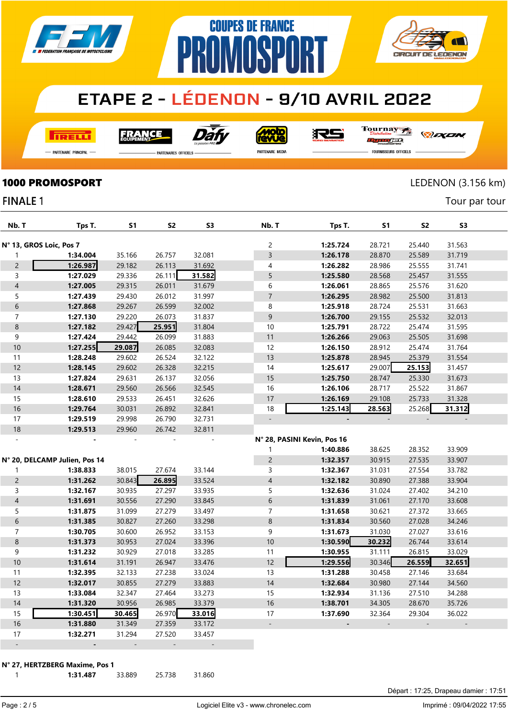

**COUPES DE FRANCE** 

**PROMOSPORT** 

**I तत्वच**र्च

Dài **FRANCE** 

<u>Molo</u><br>AVVe 沢ら Tournay rac

*DEXEN* 

**CIRCUIT DE LEDENON** 

-<br>Partenaire Principal

.<br>PARTENAIRES OFFICIELS

PARTENAIRE MEDIA

FOURNISSEURS OFFICIELS

**1000 PROMOSPORT** LEDENON (3.156 km)

Tour par tour

#### **FINALE 1**

| Nb. T                    | Tps T.                        | S1     | S2     | S3     | Nb. T                       | Tps T.         | S1     | S <sub>2</sub> | S3     |  |
|--------------------------|-------------------------------|--------|--------|--------|-----------------------------|----------------|--------|----------------|--------|--|
| N° 13, GROS Loic, Pos 7  |                               |        |        |        | 2                           | 1:25.724       | 28.721 | 25.440         | 31.563 |  |
| 1                        | 1:34.004                      | 35.166 | 26.757 | 32.081 | 3                           | 1:26.178       | 28.870 | 25.589         | 31.719 |  |
| $\overline{c}$           | 1:26.987                      | 29.182 | 26.113 | 31.692 | 4                           | 1:26.282       | 28.986 | 25.555         | 31.741 |  |
| 3                        | 1:27.029                      | 29.336 | 26.111 | 31.582 | 5                           | 1:25.580       | 28.568 | 25.457         | 31.555 |  |
| $\overline{\mathcal{A}}$ | 1:27.005                      | 29.315 | 26.011 | 31.679 | 6                           | 1:26.061       | 28.865 | 25.576         | 31.620 |  |
| 5                        | 1:27.439                      | 29.430 | 26.012 | 31.997 | $\overline{7}$              | 1:26.295       | 28.982 | 25.500         | 31.813 |  |
| 6                        | 1:27.868                      | 29.267 | 26.599 | 32.002 | 8                           | 1:25.918       | 28.724 | 25.531         | 31.663 |  |
| $\overline{7}$           | 1:27.130                      | 29.220 | 26.073 | 31.837 | 9                           | 1:26.700       | 29.155 | 25.532         | 32.013 |  |
| $\bf 8$                  | 1:27.182                      | 29.427 | 25.951 | 31.804 | 10                          | 1:25.791       | 28.722 | 25.474         | 31.595 |  |
| 9                        | 1:27.424                      | 29.442 | 26.099 | 31.883 | 11                          | 1:26.266       | 29.063 | 25.505         | 31.698 |  |
| $10\,$                   | 1:27.255                      | 29.087 | 26.085 | 32.083 | 12                          | 1:26.150       | 28.912 | 25.474         | 31.764 |  |
| 11                       | 1:28.248                      | 29.602 | 26.524 | 32.122 | 13                          | 1:25.878       | 28.945 | 25.379         | 31.554 |  |
| 12                       | 1:28.145                      | 29.602 | 26.328 | 32.215 | 14                          | 1:25.617       | 29.007 | 25.153         | 31.457 |  |
| 13                       | 1:27.824                      | 29.631 | 26.137 | 32.056 | 15                          | 1:25.750       | 28.747 | 25.330         | 31.673 |  |
| $14$                     | 1:28.671                      | 29.560 | 26.566 | 32.545 | 16                          | 1:26.106       | 28.717 | 25.522         | 31.867 |  |
| 15                       | 1:28.610                      | 29.533 | 26.451 | 32.626 | 17                          | 1:26.169       | 29.108 | 25.733         | 31.328 |  |
| $16$                     | 1:29.764                      | 30.031 | 26.892 | 32.841 | 18                          | 1:25.143       | 28.563 | 25.268         | 31.312 |  |
| 17                       | 1:29.519                      | 29.998 | 26.790 | 32.731 | $\overline{\phantom{a}}$    | $\overline{a}$ |        |                |        |  |
| 18                       | 1:29.513                      | 29.960 | 26.742 | 32.811 |                             |                |        |                |        |  |
|                          |                               |        |        |        | N° 28, PASINI Kevin, Pos 16 |                |        |                |        |  |
|                          |                               |        |        |        | 1                           | 1:40.886       | 38.625 | 28.352         | 33.909 |  |
|                          | N° 20, DELCAMP Julien, Pos 14 |        |        |        | $\overline{c}$              | 1:32.357       | 30.915 | 27.535         | 33.907 |  |
| 1                        | 1:38.833                      | 38.015 | 27.674 | 33.144 | 3                           | 1:32.367       | 31.031 | 27.554         | 33.782 |  |
| $\overline{2}$           | 1:31.262                      | 30.843 | 26.895 | 33.524 | $\overline{4}$              | 1:32.182       | 30.890 | 27.388         | 33.904 |  |
| 3                        | 1:32.167                      | 30.935 | 27.297 | 33.935 | 5                           | 1:32.636       | 31.024 | 27.402         | 34.210 |  |
| $\overline{\mathcal{A}}$ | 1:31.691                      | 30.556 | 27.290 | 33.845 | 6                           | 1:31.839       | 31.061 | 27.170         | 33.608 |  |
| 5                        | 1:31.875                      | 31.099 | 27.279 | 33.497 | 7                           | 1:31.658       | 30.621 | 27.372         | 33.665 |  |
| 6                        | 1:31.385                      | 30.827 | 27.260 | 33.298 | $\,8\,$                     | 1:31.834       | 30.560 | 27.028         | 34.246 |  |
| $\overline{7}$           | 1:30.705                      | 30.600 | 26.952 | 33.153 | 9                           | 1:31.673       | 31.030 | 27.027         | 33.616 |  |
| $\bf 8$                  | 1:31.373                      | 30.953 | 27.024 | 33.396 | $10$                        | 1:30.590       | 30.232 | 26.744         | 33.614 |  |
| 9                        | 1:31.232                      | 30.929 | 27.018 | 33.285 | 11                          | 1:30.955       | 31.111 | 26.815         | 33.029 |  |
| $10$                     | 1:31.614                      | 31.191 | 26.947 | 33.476 | 12                          | 1:29.556       | 30.346 | 26.559         | 32.651 |  |
| 11                       | 1:32.395                      | 32.133 | 27.238 | 33.024 | 13                          | 1:31.288       | 30.458 | 27.146         | 33.684 |  |
| 12                       | 1:32.017                      | 30.855 | 27.279 | 33.883 | 14                          | 1:32.684       | 30.980 | 27.144         | 34.560 |  |
| 13                       | 1:33.084                      | 32.347 | 27.464 | 33.273 | 15                          | 1:32.934       | 31.136 | 27.510         | 34.288 |  |
| 14                       | 1:31.320                      | 30.956 | 26.985 | 33.379 | 16                          | 1:38.701       | 34.305 | 28.670         | 35.726 |  |
| 15                       | 1:30.451                      | 30.465 | 26.970 | 33.016 | 17                          | 1:37.690       | 32.364 | 29.304         | 36.022 |  |
| 16                       | 1:31.880                      | 31.349 | 27.359 | 33.172 |                             |                |        |                |        |  |
| 17                       | 1:32.271                      | 31.294 | 27.520 | 33.457 |                             |                |        |                |        |  |
| $\overline{a}$           |                               |        |        |        |                             |                |        |                |        |  |

#### N° 27, HERTZBERG Maxime, Pos 1

| 1:31.487 | 33.889 | 25.738 | 31.860 |
|----------|--------|--------|--------|
|          |        |        |        |

Page : 2 / 5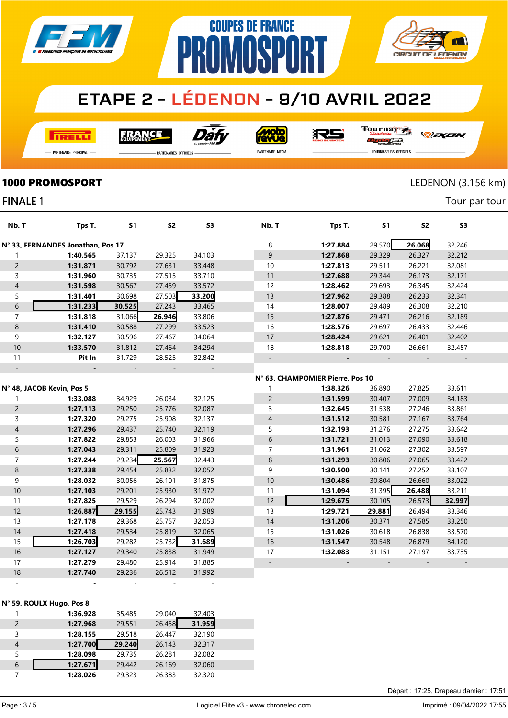

**COUPES DE FRANCE** 

**PROMOSP** 

**TRELL** 

Dàf **FRANCE** 

**Moto**<br>AVUe

RS

Tournay Dun oraa

**CIRCUIT DE LEDENON** 

- Partenaire Principal --

**FINALE 1** 

**PARTENAIRES OFFICIELS** 

PARTENAIRE MEDIA

*DEXEN* 

**FOURNISSEURS OFFICIELS** 

**1000 PROMOSPORT** LEDENON (3.156 km)

**AT** 

Tour par tour

| Nb. T                    | Tps T.                            | S <sub>1</sub> | S <sub>2</sub> | S <sub>3</sub> | Nb. T                            | Tps T.   | S <sub>1</sub> | S <sub>2</sub> | S <sub>3</sub> |
|--------------------------|-----------------------------------|----------------|----------------|----------------|----------------------------------|----------|----------------|----------------|----------------|
|                          | N° 33, FERNANDES Jonathan, Pos 17 |                |                |                | 8                                | 1:27.884 | 29.570         | 26.068         | 32.246         |
| 1                        | 1:40.565                          | 37.137         | 29.325         | 34.103         | $\mathsf 9$                      | 1:27.868 | 29.329         | 26.327         | 32.212         |
| $\overline{2}$           | 1:31.871                          | 30.792         | 27.631         | 33.448         | 10                               | 1:27.813 | 29.511         | 26.221         | 32.081         |
| 3                        | 1:31.960                          | 30.735         | 27.515         | 33.710         | 11                               | 1:27.688 | 29.344         | 26.173         | 32.171         |
| $\overline{\mathcal{L}}$ | 1:31.598                          | 30.567         | 27.459         | 33.572         | 12                               | 1:28.462 | 29.693         | 26.345         | 32.424         |
| 5                        | 1:31.401                          | 30.698         | 27.503         | 33.200         | 13                               | 1:27.962 | 29.388         | 26.233         | 32.341         |
| $\sqrt{6}$               | 1:31.233                          | 30.525         | 27.243         | 33.465         | 14                               | 1:28.007 | 29.489         | 26.308         | 32.210         |
| $\overline{7}$           | 1:31.818                          | 31.066         | 26.946         | 33.806         | 15                               | 1:27.876 | 29.471         | 26.216         | 32.189         |
| $\bf 8$                  | 1:31.410                          | 30.588         | 27.299         | 33.523         | 16                               | 1:28.576 | 29.697         | 26.433         | 32.446         |
| 9                        | 1:32.127                          | 30.596         | 27.467         | 34.064         | 17                               | 1:28.424 | 29.621         | 26.401         | 32.402         |
| 10                       | 1:33.570                          | 31.812         | 27.464         | 34.294         | 18                               | 1:28.818 | 29.700         | 26.661         | 32.457         |
| 11                       | Pit In                            | 31.729         | 28.525         | 32.842         | $\qquad \qquad -$                |          |                |                |                |
|                          |                                   |                |                |                |                                  |          |                |                |                |
|                          |                                   |                |                |                | N° 63, CHAMPOMIER Pierre, Pos 10 |          |                |                |                |
|                          | N° 48, JACOB Kevin, Pos 5         |                |                |                | 1                                | 1:38.326 | 36.890         | 27.825         | 33.611         |
| 1                        | 1:33.088                          | 34.929         | 26.034         | 32.125         | $\overline{c}$                   | 1:31.599 | 30.407         | 27.009         | 34.183         |
| $\overline{c}$           | 1:27.113                          | 29.250         | 25.776         | 32.087         | 3                                | 1:32.645 | 31.538         | 27.246         | 33.861         |
| 3                        | 1:27.320                          | 29.275         | 25.908         | 32.137         | $\overline{4}$                   | 1:31.512 | 30.581         | 27.167         | 33.764         |
| $\overline{4}$           | 1:27.296                          | 29.437         | 25.740         | 32.119         | 5                                | 1:32.193 | 31.276         | 27.275         | 33.642         |
| 5                        | 1:27.822                          | 29.853         | 26.003         | 31.966         | $\,$ 6 $\,$                      | 1:31.721 | 31.013         | 27.090         | 33.618         |
| $\boldsymbol{6}$         | 1:27.043                          | 29.311         | 25.809         | 31.923         | $\overline{7}$                   | 1:31.961 | 31.062         | 27.302         | 33.597         |
| $\overline{7}$           | 1:27.244                          | 29.234         | 25.567         | 32.443         | $\,8\,$                          | 1:31.293 | 30.806         | 27.065         | 33.422         |
| $\,8\,$                  | 1:27.338                          | 29.454         | 25.832         | 32.052         | 9                                | 1:30.500 | 30.141         | 27.252         | 33.107         |
| 9                        | 1:28.032                          | 30.056         | 26.101         | 31.875         | 10                               | 1:30.486 | 30.804         | 26.660         | 33.022         |
| $10$                     | 1:27.103                          | 29.201         | 25.930         | 31.972         | 11                               | 1:31.094 | 31.395         | 26.488         | 33.211         |
| 11                       | 1:27.825                          | 29.529         | 26.294         | 32.002         | 12                               | 1:29.675 | 30.105         | 26.573         | 32.997         |
| 12                       | 1:26.887                          | 29.155         | 25.743         | 31.989         | 13                               | 1:29.721 | 29.881         | 26.494         | 33.346         |
| 13                       | 1:27.178                          | 29.368         | 25.757         | 32.053         | 14                               | 1:31.206 | 30.371         | 27.585         | 33.250         |
| 14                       | 1:27.418                          | 29.534         | 25.819         | 32.065         | 15                               | 1:31.026 | 30.618         | 26.838         | 33.570         |
| 15                       | 1:26.703                          | 29.282         | 25.732         | 31.689         | 16                               | 1:31.547 | 30.548         | 26.879         | 34.120         |
| 16                       | 1:27.127                          | 29.340         | 25.838         | 31.949         | 17                               | 1:32.083 | 31.151         | 27.197         | 33.735         |
| 17                       | 1:27.279                          | 29.480         | 25.914         | 31.885         | $\overline{\phantom{a}}$         |          |                |                |                |
| 18                       | 1:27.740                          | 29.236         | 26.512         | 31.992         |                                  |          |                |                |                |
|                          |                                   |                |                |                |                                  |          |                |                |                |

#### N° 59, ROULX Hugo, Pos 8

|   | 1:36.928 | 35.485 | 29.040 | 32.403 |  |
|---|----------|--------|--------|--------|--|
| 2 | 1:27.968 | 29.551 | 26.458 | 31.959 |  |
| 3 | 1:28.155 | 29.518 | 26.447 | 32.190 |  |
| 4 | 1:27.700 | 29.240 | 26.143 | 32.317 |  |
| 5 | 1:28.098 | 29.735 | 26.281 | 32.082 |  |
| 6 | 1:27.671 | 29.442 | 26.169 | 32.060 |  |
|   | 1:28.026 | 29.323 | 26.383 | 32.320 |  |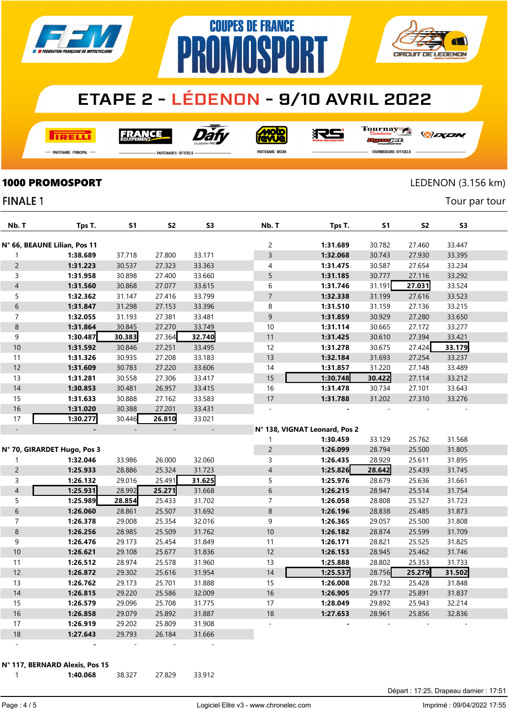

**COUPES DE FRANCE** 

**NMNSPNRT** 

**I तत्वच**र्च

Dàt **FRANCE** 

**Moto** 

RS

Tournay ra

*DEXEN* 

**CIRCUIT DE LEDENON** 

- Partenaire Principal

**PARTENAIRES OFFICIELS** 

PR

PARTENAIRE MEDIA

FOURNISSEURS OFFICIELS

**1000 PROMOSPORT** LEDENON (3.156 km)

Tour par tour

### **FINALE 1**

| Nb. T                    | Tps T.                       | <b>S1</b> | S <sub>2</sub> | S3     | Nb. T                    | Tps T.                        | S1     | S <sub>2</sub> | S3     |  |
|--------------------------|------------------------------|-----------|----------------|--------|--------------------------|-------------------------------|--------|----------------|--------|--|
|                          | N° 66, BEAUNE Lilian, Pos 11 |           |                |        | $\overline{c}$           | 1:31.689                      | 30.782 | 27.460         | 33.447 |  |
| 1                        | 1:38.689                     | 37.718    | 27.800         | 33.171 | $\mathsf 3$              | 1:32.068                      | 30.743 | 27.930         | 33.395 |  |
| $\overline{c}$           | 1:31.223                     | 30.537    | 27.323         | 33.363 | 4                        | 1:31.475                      | 30.587 | 27.654         | 33.234 |  |
| 3                        | 1:31.958                     | 30.898    | 27.400         | 33.660 | 5                        | 1:31.185                      | 30.777 | 27.116         | 33.292 |  |
| $\overline{\mathcal{L}}$ | 1:31.560                     | 30.868    | 27.077         | 33.615 | 6                        | 1:31.746                      | 31.191 | 27.031         | 33.524 |  |
| 5                        | 1:32.362                     | 31.147    | 27.416         | 33.799 | $\overline{7}$           | 1:32.338                      | 31.199 | 27.616         | 33.523 |  |
| 6                        | 1:31.847                     | 31.298    | 27.153         | 33.396 | $\, 8$                   | 1:31.510                      | 31.159 | 27.136         | 33.215 |  |
| $\overline{7}$           | 1:32.055                     | 31.193    | 27.381         | 33.481 | $\mathsf 9$              | 1:31.859                      | 30.929 | 27.280         | 33.650 |  |
| 8                        | 1:31.864                     | 30.845    | 27.270         | 33.749 | 10                       | 1:31.114                      | 30.665 | 27.172         | 33.277 |  |
| 9                        | 1:30.487                     | 30.383    | 27.364         | 32.740 | 11                       | 1:31.425                      | 30.610 | 27.394         | 33.421 |  |
| 10                       | 1:31.592                     | 30.846    | 27.251         | 33.495 | 12                       | 1:31.278                      | 30.675 | 27.424         | 33.179 |  |
| 11                       | 1:31.326                     | 30.935    | 27.208         | 33.183 | 13                       | 1:32.184                      | 31.693 | 27.254         | 33.237 |  |
| 12                       | 1:31.609                     | 30.783    | 27.220         | 33.606 | 14                       | 1:31.857                      | 31.220 | 27.148         | 33.489 |  |
| 13                       | 1:31.281                     | 30.558    | 27.306         | 33.417 | 15                       | 1:30.748                      | 30.422 | 27.114         | 33.212 |  |
| 14                       | 1:30.853                     | 30.481    | 26.957         | 33.415 | 16                       | 1:31.478                      | 30.734 | 27.101         | 33.643 |  |
| 15                       | 1:31.633                     | 30.888    | 27.162         | 33.583 | 17                       | 1:31.788                      | 31.202 | 27.310         | 33.276 |  |
| 16                       | 1:31.020                     | 30.388    | 27.201         | 33.431 | $\bar{\phantom{a}}$      |                               |        |                |        |  |
| 17                       | 1:30.277                     | 30.446    | 26.810         | 33.021 |                          |                               |        |                |        |  |
| $\overline{\phantom{a}}$ |                              |           |                |        |                          | N° 138, VIGNAT Leonard, Pos 2 |        |                |        |  |
|                          |                              |           |                |        | 1                        | 1:30.459                      | 33.129 | 25.762         | 31.568 |  |
|                          | N° 70, GIRARDET Hugo, Pos 3  |           |                |        | $\overline{c}$           | 1:26.099                      | 28.794 | 25.500         | 31.805 |  |
| $\mathbf{1}$             | 1:32.046                     | 33.986    | 26.000         | 32.060 | 3                        | 1:26.435                      | 28.929 | 25.611         | 31.895 |  |
| $\overline{c}$           | 1:25.933                     | 28.886    | 25.324         | 31.723 | $\overline{\mathcal{L}}$ | 1:25.826                      | 28.642 | 25.439         | 31.745 |  |
| 3                        | 1:26.132                     | 29.016    | 25.491         | 31.625 | 5                        | 1:25.976                      | 28.679 | 25.636         | 31.661 |  |
| $\overline{4}$           | 1:25.931                     | 28.992    | 25.271         | 31.668 | 6                        | 1:26.215                      | 28.947 | 25.514         | 31.754 |  |
| 5                        | 1:25.989                     | 28.854    | 25.433         | 31.702 | $\overline{7}$           | 1:26.058                      | 28.808 | 25.527         | 31.723 |  |
| 6                        | 1:26.060                     | 28.861    | 25.507         | 31.692 | 8                        | 1:26.196                      | 28.838 | 25.485         | 31.873 |  |
| $\overline{7}$           | 1:26.378                     | 29.008    | 25.354         | 32.016 | 9                        | 1:26.365                      | 29.057 | 25.500         | 31.808 |  |
| 8                        | 1:26.256                     | 28.985    | 25.509         | 31.762 | 10                       | 1:26.182                      | 28.874 | 25.599         | 31.709 |  |
| 9                        | 1:26.476                     | 29.173    | 25.454         | 31.849 | 11                       | 1:26.171                      | 28.821 | 25.525         | 31.825 |  |
| $10$                     | 1:26.621                     | 29.108    | 25.677         | 31.836 | 12                       | 1:26.153                      | 28.945 | 25.462         | 31.746 |  |
| 11                       | 1:26.512                     | 28.974    | 25.578         | 31.960 | 13                       | 1:25.888                      | 28.802 | 25.353         | 31.733 |  |
| 12                       | 1:26.872                     | 29.302    | 25.616         | 31.954 | 14                       | 1:25.537                      | 28.756 | 25.279         | 31.502 |  |
| 13                       | 1:26.762                     | 29.173    | 25.701         | 31.888 | 15                       | 1:26.008                      | 28.732 | 25.428         | 31.848 |  |
| 14                       | 1:26.815                     | 29.220    | 25.586         | 32.009 | 16                       | 1:26.905                      | 29.177 | 25.891         | 31.837 |  |
| 15                       | 1:26.579                     | 29.096    | 25.708         | 31.775 | 17                       | 1:28.049                      | 29.892 | 25.943         | 32.214 |  |
| 16                       | 1:26.858                     | 29.079    | 25.892         | 31.887 | 18                       | 1:27.653                      | 28.961 | 25.856         | 32.836 |  |
| 17                       | 1:26.919                     | 29.202    | 25.809         | 31.908 |                          |                               |        |                |        |  |
| 18                       | 1:27.643                     | 29.793    | 26.184         | 31.666 |                          |                               |        |                |        |  |
| $\blacksquare$           |                              |           |                |        |                          |                               |        |                |        |  |

N° 117, BERNARD Alexis, Pos 15

1:40.068 38.327 27.829 33.912

Page : 4 / 5